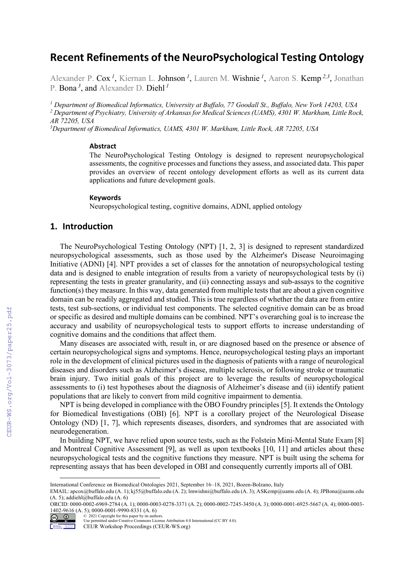# **Recent Refinements of the NeuroPsychological Testing Ontology**

Alexander P. Cox *<sup>1</sup>* , Kiernan L. Johnson *<sup>1</sup>*, Lauren M. Wishnie *<sup>1</sup>* , Aaron S. Kemp *2,3*, Jonathan P. Bona *<sup>3</sup>* , and Alexander D. Diehl *<sup>1</sup>*

*<sup>1</sup> Department of Biomedical Informatics, University at Buffalo, 77 Goodall St., Buffalo, New York 14203, USA <sup>2</sup> Department of Psychiatry, University of Arkansas for Medical Sciences(UAMS), 4301 W. Markham, Little Rock, AR 72205, USA*

*3 Department of Biomedical Informatics, UAMS, 4301 W. Markham, Little Rock, AR 72205, USA*

#### **Abstract**

The NeuroPsychological Testing Ontology is designed to represent neuropsychological assessments, the cognitive processes and functions they assess, and associated data. This paper provides an overview of recent ontology development efforts as well as its current data applications and future development goals.

#### **Keywords**

Neuropsychological testing, cognitive domains, ADNI, applied ontology

### **1. Introduction**

The NeuroPsychological Testing Ontology (NPT) [1, 2, 3] is designed to represent standardized neuropsychological assessments, such as those used by the Alzheimer's Disease Neuroimaging Initiative (ADNI) [4]. NPT provides a set of classes for the annotation of neuropsychological testing data and is designed to enable integration of results from a variety of neuropsychological tests by (i) representing the tests in greater granularity, and (ii) connecting assays and sub-assays to the cognitive function(s) they measure. In this way, data generated from multiple tests that are about a given cognitive domain can be readily aggregated and studied. This is true regardless of whether the data are from entire tests, test sub-sections, or individual test components. The selected cognitive domain can be as broad or specific as desired and multiple domains can be combined. NPT's overarching goal is to increase the accuracy and usability of neuropsychological tests to support efforts to increase understanding of cognitive domains and the conditions that affect them.

Many diseases are associated with, result in, or are diagnosed based on the presence or absence of certain neuropsychological signs and symptoms. Hence, neuropsychological testing plays an important role in the development of clinical pictures used in the diagnosis of patients with a range of neurological diseases and disorders such as Alzheimer's disease, multiple sclerosis, or following stroke or traumatic brain injury. Two initial goals of this project are to leverage the results of neuropsychological assessments to (i) test hypotheses about the diagnosis of Alzheimer's disease and (ii) identify patient populations that are likely to convert from mild cognitive impairment to dementia.

NPT is being developed in compliance with the OBO Foundry principles [5]. It extends the Ontology for Biomedical Investigations (OBI) [6]. NPT is a corollary project of the Neurological Disease Ontology (ND) [1, 7], which represents diseases, disorders, and syndromes that are associated with neurodegeneration.

In building NPT, we have relied upon source tests, such as the Folstein Mini-Mental State Exam [8] and Montreal Cognitive Assessment [9], as well as upon textbooks [10, 11] and articles about these neuropsychological tests and the cognitive functions they measure. NPT is built using the schema for representing assays that has been developed in OBI and consequently currently imports all of OBI.

© 2021 Copyright for this paper by its authors.  $\circ$   $\circ$ 

Workshop Proceedings

International Conference on Biomedical Ontologies 2021, September 16–18, 2021, Bozen-Bolzano, Italy

EMAIL: apcox@buffalo.edu (A. 1); kj55@buffalo.edu (A. 2); lmwishni@buffalo.edu (A. 3); ASKemp@uams.edu (A. 4); JPBona@uams.edu (A. 5); addiehl@buffalo.edu (A. 6)

ORCID: 0000-0002-6969-2784 (A. 1); 0000-0003-0278-3371 (A. 2); 0000-0002-7245-3450 (A. 3); 0000-0001-6925-5667 (A. 4); 0000-0003- 1402-9616 (A. 5); 0000-0001-9990-8331 (A. 6)

Use permitted under Creative Commons License Attribution 4.0 International (CC BY 4.0).

CEUR Workshop Proceedings (CEUR-WS.org) http://ceur-ws.org ISSN 1613-0073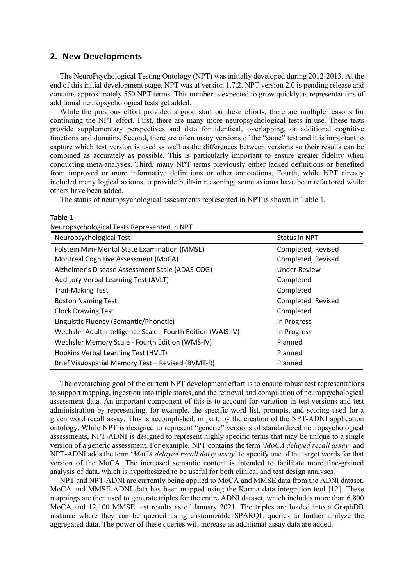### **2. New Developments**

The NeuroPsychological Testing Ontology (NPT) was initially developed during 2012-2013. At the end of this initial development stage, NPT was at version 1.7.2. NPT version 2.0 is pending release and contains approximately 550 NPT terms. This number is expected to grow quickly as representations of additional neuropsychological tests get added.

While the previous effort provided a good start on these efforts, there are multiple reasons for continuing the NPT effort. First, there are many more neuropsychological tests in use. These tests provide supplementary perspectives and data for identical, overlapping, or additional cognitive functions and domains. Second, there are often many versions of the "same" test and it is important to capture which test version is used as well as the differences between versions so their results can be combined as accurately as possible. This is particularly important to ensure greater fidelity when conducting meta-analyses. Third, many NPT terms previously either lacked definitions or benefited from improved or more informative definitions or other annotations. Fourth, while NPT already included many logical axioms to provide built-in reasoning, some axioms have been refactored while others have been added.

The status of neuropsychological assessments represented in NPT is shown in Table 1.

#### **Table 1**

|  |  | Neuropsychological Tests Represented in NPT |
|--|--|---------------------------------------------|
|--|--|---------------------------------------------|

| Neuropsychological Test                                      | <b>Status in NPT</b> |
|--------------------------------------------------------------|----------------------|
| Folstein Mini-Mental State Examination (MMSE)                | Completed, Revised   |
| Montreal Cognitive Assessment (MoCA)                         | Completed, Revised   |
| Alzheimer's Disease Assessment Scale (ADAS-COG)              | <b>Under Review</b>  |
| Auditory Verbal Learning Test (AVLT)                         | Completed            |
| <b>Trail-Making Test</b>                                     | Completed            |
| <b>Boston Naming Test</b>                                    | Completed, Revised   |
| <b>Clock Drawing Test</b>                                    | Completed            |
| Linguistic Fluency (Semantic/Phonetic)                       | In Progress          |
| Wechsler Adult Intelligence Scale - Fourth Edition (WAIS-IV) | In Progress          |
| Wechsler Memory Scale - Fourth Edition (WMS-IV)              | Planned              |
| Hopkins Verbal Learning Test (HVLT)                          | Planned              |
| Brief Visuospatial Memory Test - Revised (BVMT-R)            | Planned              |

The overarching goal of the current NPT development effort is to ensure robust test representations to support mapping, ingestion into triple stores, and the retrieval and compilation of neuropsychological assessment data. An important component of this is to account for variation in test versions and test administration by representing, for example, the specific word list, prompts, and scoring used for a given word recall assay. This is accomplished, in part, by the creation of the NPT-ADNI application ontology. While NPT is designed to represent "generic" versions of standardized neuropsychological assessments, NPT-ADNI is designed to represent highly specific terms that may be unique to a single version of a generic assessment. For example, NPT contains the term '*MoCA delayed recall assay*' and NPT-ADNI adds the term '*MoCA delayed recall daisy assay*' to specify one of the target words for that version of the MoCA. The increased semantic content is intended to facilitate more fine-grained analysis of data, which is hypothesized to be useful for both clinical and test design analyses.

NPT and NPT-ADNI are currently being applied to MoCA and MMSE data from the ADNI dataset. MoCA and MMSE ADNI data has been mapped using the Karma data integration tool [12]. These mappings are then used to generate triples for the entire ADNI dataset, which includes more than 6,800 MoCA and 12,100 MMSE test results as of January 2021. The triples are loaded into a GraphDB instance where they can be queried using customizable SPARQL queries to further analyze the aggregated data. The power of these queries will increase as additional assay data are added.